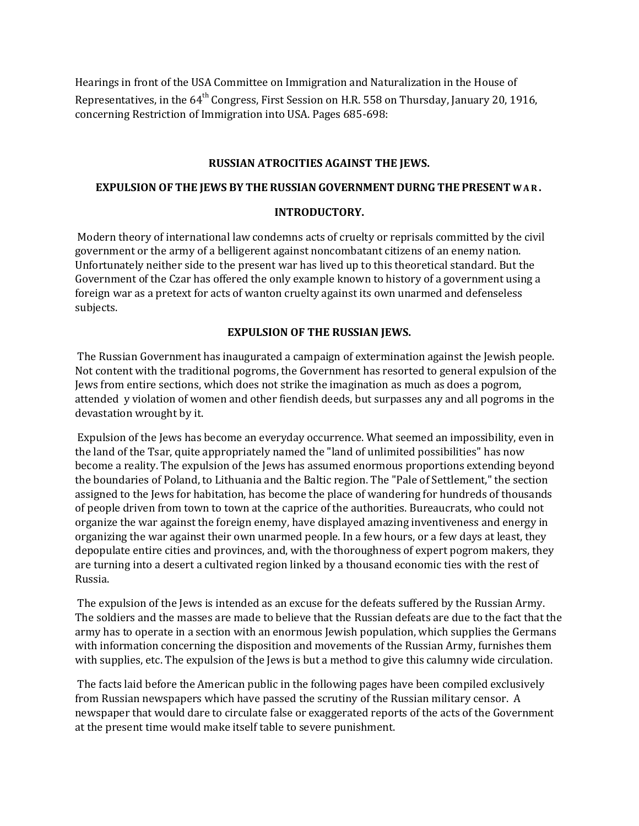Hearings in front of the USA Committee on Immigration and Naturalization in the House of Representatives, in the 64<sup>th</sup> Congress, First Session on H.R. 558 on Thursday, January 20, 1916, concerning Restriction of Immigration into USA. Pages 685-698:

### **RUSSIAN ATROCITIES AGAINST THE JEWS.**

#### **EXPULSION OF THE JEWS BY THE RUSSIAN GOVERNMENT DURNG THE PRESENT W A R .**

#### **INTRODUCTORY.**

Modern theory of international law condemns acts of cruelty or reprisals committed by the civil government or the army of a belligerent against noncombatant citizens of an enemy nation. Unfortunately neither side to the present war has lived up to this theoretical standard. But the Government of the Czar has offered the only example known to history of a government using a foreign war as a pretext for acts of wanton cruelty against its own unarmed and defenseless subjects.

### **EXPULSION OF THE RUSSIAN JEWS.**

The Russian Government has inaugurated a campaign of extermination against the Jewish people. Not content with the traditional pogroms, the Government has resorted to general expulsion of the Jews from entire sections, which does not strike the imagination as much as does a pogrom, attended y violation of women and other fiendish deeds, but surpasses any and all pogroms in the devastation wrought by it.

Expulsion of the Jews has become an everyday occurrence. What seemed an impossibility, even in the land of the Tsar, quite appropriately named the "land of unlimited possibilities" has now become a reality. The expulsion of the Jews has assumed enormous proportions extending beyond the boundaries of Poland, to Lithuania and the Baltic region. The "Pale of Settlement," the section assigned to the Jews for habitation, has become the place of wandering for hundreds of thousands of people driven from town to town at the caprice of the authorities. Bureaucrats, who could not organize the war against the foreign enemy, have displayed amazing inventiveness and energy in organizing the war against their own unarmed people. In a few hours, or a few days at least, they depopulate entire cities and provinces, and, with the thoroughness of expert pogrom makers, they are turning into a desert a cultivated region linked by a thousand economic ties with the rest of Russia.

The expulsion of the Jews is intended as an excuse for the defeats suffered by the Russian Army. The soldiers and the masses are made to believe that the Russian defeats are due to the fact that the army has to operate in a section with an enormous Jewish population, which supplies the Germans with information concerning the disposition and movements of the Russian Army, furnishes them with supplies, etc. The expulsion of the Jews is but a method to give this calumny wide circulation.

The facts laid before the American public in the following pages have been compiled exclusively from Russian newspapers which have passed the scrutiny of the Russian military censor. A newspaper that would dare to circulate false or exaggerated reports of the acts of the Government at the present time would make itself table to severe punishment.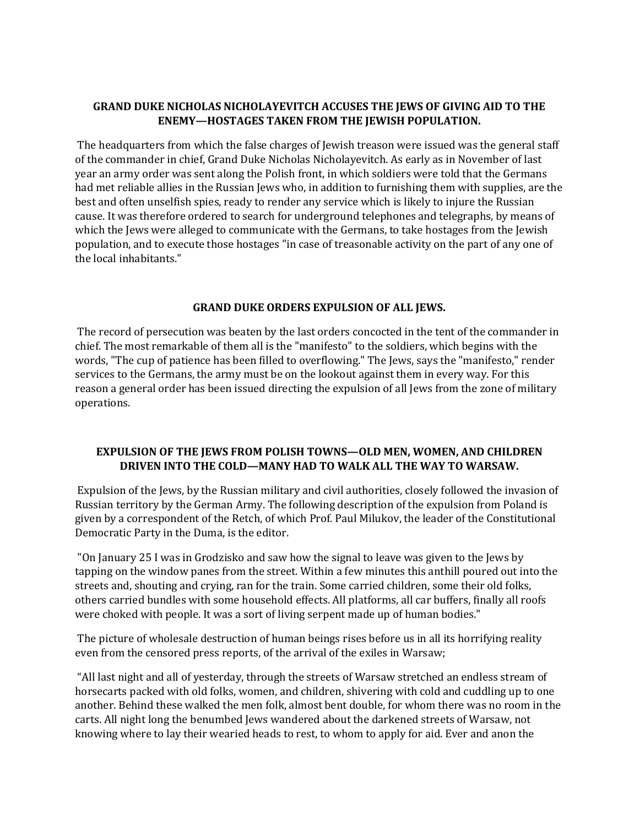## **GRAND DUKE NICHOLAS NICHOLAYEVITCH ACCUSES THE JEWS OF GIVING AID TO THE ENEMY—HOSTAGES TAKEN FROM THE JEWISH POPULATION.**

The headquarters from which the false charges of Jewish treason were issued was the general staff of the commander in chief, Grand Duke Nicholas Nicholayevitch. As early as in November of last year an army order was sent along the Polish front, in which soldiers were told that the Germans had met reliable allies in the Russian Jews who, in addition to furnishing them with supplies, are the best and often unselfish spies, ready to render any service which is likely to injure the Russian cause. It was therefore ordered to search for underground telephones and telegraphs, by means of which the Jews were alleged to communicate with the Germans, to take hostages from the Jewish population, and to execute those hostages "in case of treasonable activity on the part of any one of the local inhabitants."

### **GRAND DUKE ORDERS EXPULSION OF ALL JEWS.**

The record of persecution was beaten by the last orders concocted in the tent of the commander in chief. The most remarkable of them all is the "manifesto" to the soldiers, which begins with the words, "The cup of patience has been filled to overflowing." The Jews, says the "manifesto," render services to the Germans, the army must be on the lookout against them in every way. For this reason a general order has been issued directing the expulsion of all Jews from the zone of military operations.

## **EXPULSION OF THE JEWS FROM POLISH TOWNS—OLD MEN, WOMEN, AND CHILDREN DRIVEN INTO THE COLD—MANY HAD TO WALK ALL THE WAY TO WARSAW.**

Expulsion of the Jews, by the Russian military and civil authorities, closely followed the invasion of Russian territory by the German Army. The following description of the expulsion from Poland is given by a correspondent of the Retch, of which Prof. Paul Milukov, the leader of the Constitutional Democratic Party in the Duma, is the editor.

"On January 25 I was in Grodzisko and saw how the signal to leave was given to the Jews by tapping on the window panes from the street. Within a few minutes this anthill poured out into the streets and, shouting and crying, ran for the train. Some carried children, some their old folks, others carried bundles with some household effects. All platforms, all car buffers, finally all roofs were choked with people. It was a sort of living serpent made up of human bodies."

The picture of wholesale destruction of human beings rises before us in all its horrifying reality even from the censored press reports, of the arrival of the exiles in Warsaw;

"All last night and all of yesterday, through the streets of Warsaw stretched an endless stream of horsecarts packed with old folks, women, and children, shivering with cold and cuddling up to one another. Behind these walked the men folk, almost bent double, for whom there was no room in the carts. All night long the benumbed Jews wandered about the darkened streets of Warsaw, not knowing where to lay their wearied heads to rest, to whom to apply for aid. Ever and anon the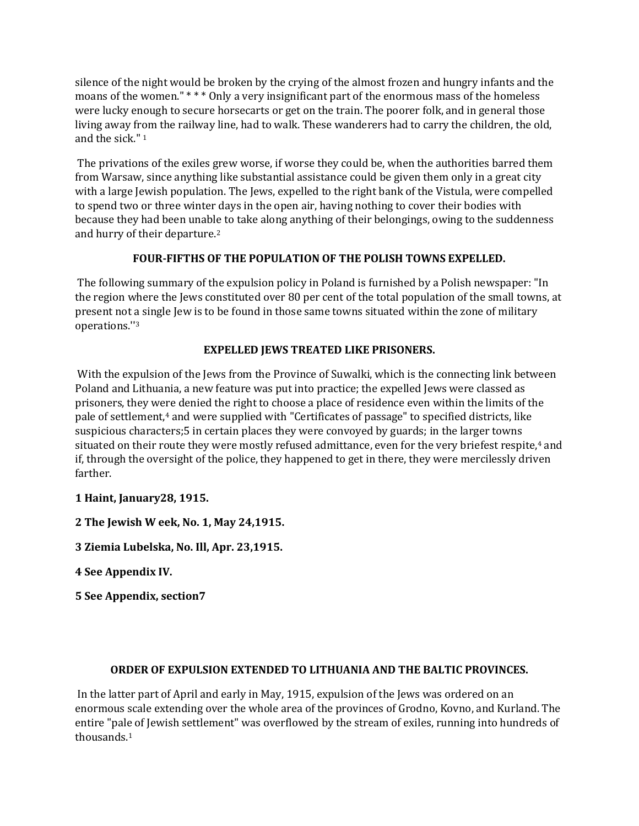silence of the night would be broken by the crying of the almost frozen and hungry infants and the moans of the women." \* \* \* Only a very insignificant part of the enormous mass of the homeless were lucky enough to secure horsecarts or get on the train. The poorer folk, and in general those living away from the railway line, had to walk. These wanderers had to carry the children, the old, and the sick." <sup>1</sup>

The privations of the exiles grew worse, if worse they could be, when the authorities barred them from Warsaw, since anything like substantial assistance could be given them only in a great city with a large Jewish population. The Jews, expelled to the right bank of the Vistula, were compelled to spend two or three winter days in the open air, having nothing to cover their bodies with because they had been unable to take along anything of their belongings, owing to the suddenness and hurry of their departure.<sup>2</sup>

# **FOUR-FIFTHS OF THE POPULATION OF THE POLISH TOWNS EXPELLED.**

The following summary of the expulsion policy in Poland is furnished by a Polish newspaper: "In the region where the Jews constituted over 80 per cent of the total population of the small towns, at present not a single Jew is to be found in those same towns situated within the zone of military operations.''<sup>3</sup>

## **EXPELLED JEWS TREATED LIKE PRISONERS.**

With the expulsion of the Jews from the Province of Suwalki, which is the connecting link between Poland and Lithuania, a new feature was put into practice; the expelled Jews were classed as prisoners, they were denied the right to choose a place of residence even within the limits of the pale of settlement,<sup>4</sup> and were supplied with "Certificates of passage" to specified districts, like suspicious characters;5 in certain places they were convoyed by guards; in the larger towns situated on their route they were mostly refused admittance, even for the very briefest respite,<sup>4</sup> and if, through the oversight of the police, they happened to get in there, they were mercilessly driven farther.

## **1 Haint, January28, 1915.**

**2 The Jewish W eek, No. 1, May 24,1915.**

**3 Ziemia Lubelska, No. Ill, Apr. 23,1915.**

**4 See Appendix IV.**

**5 See Appendix, section7**

## **ORDER OF EXPULSION EXTENDED TO LITHUANIA AND THE BALTIC PROVINCES.**

In the latter part of April and early in May, 1915, expulsion of the Jews was ordered on an enormous scale extending over the whole area of the provinces of Grodno, Kovno, and Kurland. The entire "pale of Jewish settlement" was overflowed by the stream of exiles, running into hundreds of thousands.1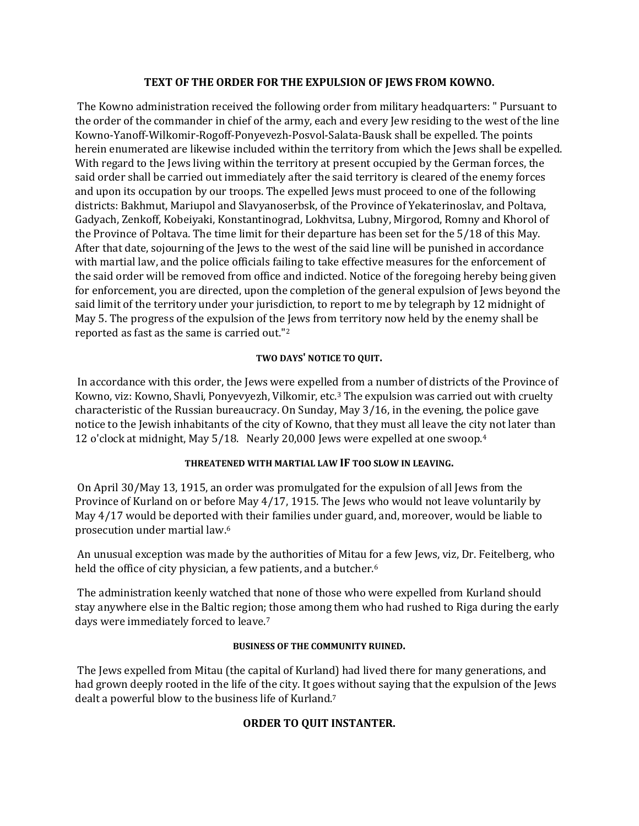### **TEXT OF THE ORDER FOR THE EXPULSION OF JEWS FROM KOWNO.**

The Kowno administration received the following order from military headquarters: " Pursuant to the order of the commander in chief of the army, each and every Jew residing to the west of the line Kowno-Yanoff-Wilkomir-Rogoff-Ponyevezh-Posvol-Salata-Bausk shall be expelled. The points herein enumerated are likewise included within the territory from which the Jews shall be expelled. With regard to the Jews living within the territory at present occupied by the German forces, the said order shall be carried out immediately after the said territory is cleared of the enemy forces and upon its occupation by our troops. The expelled Jews must proceed to one of the following districts: Bakhmut, Mariupol and Slavyanoserbsk, of the Province of Yekaterinoslav, and Poltava, Gadyach, Zenkoff, Kobeiyaki, Konstantinograd, Lokhvitsa, Lubny, Mirgorod, Romny and Khorol of the Province of Poltava. The time limit for their departure has been set for the 5/18 of this May. After that date, sojourning of the Jews to the west of the said line will be punished in accordance with martial law, and the police officials failing to take effective measures for the enforcement of the said order will be removed from office and indicted. Notice of the foregoing hereby being given for enforcement, you are directed, upon the completion of the general expulsion of Jews beyond the said limit of the territory under your jurisdiction, to report to me by telegraph by 12 midnight of May 5. The progress of the expulsion of the Jews from territory now held by the enemy shall be reported as fast as the same is carried out."<sup>2</sup>

## **TWO DAYS' NOTICE TO QUIT.**

In accordance with this order, the Jews were expelled from a number of districts of the Province of Kowno, viz: Kowno, Shavli, Ponyevyezh, Vilkomir, etc.<sup>3</sup> The expulsion was carried out with cruelty characteristic of the Russian bureaucracy. On Sunday, May 3/16, in the evening, the police gave notice to the Jewish inhabitants of the city of Kowno, that they must all leave the city not later than 12 o'clock at midnight, May 5/18. Nearly 20,000 Jews were expelled at one swoop.<sup>4</sup>

## **THREATENED WITH MARTIAL LAW IF TOO SLOW IN LEAVING.**

On April 30/May 13, 1915, an order was promulgated for the expulsion of all Jews from the Province of Kurland on or before May 4/17, 1915. The Jews who would not leave voluntarily by May 4/17 would be deported with their families under guard, and, moreover, would be liable to prosecution under martial law.<sup>6</sup>

An unusual exception was made by the authorities of Mitau for a few Jews, viz, Dr. Feitelberg, who held the office of city physician, a few patients, and a butcher.<sup>6</sup>

The administration keenly watched that none of those who were expelled from Kurland should stay anywhere else in the Baltic region; those among them who had rushed to Riga during the early days were immediately forced to leave.<sup>7</sup>

## **BUSINESS OF THE COMMUNITY RUINED.**

The Jews expelled from Mitau (the capital of Kurland) had lived there for many generations, and had grown deeply rooted in the life of the city. It goes without saying that the expulsion of the Jews dealt a powerful blow to the business life of Kurland.<sup>7</sup>

# **ORDER TO QUIT INSTANTER.**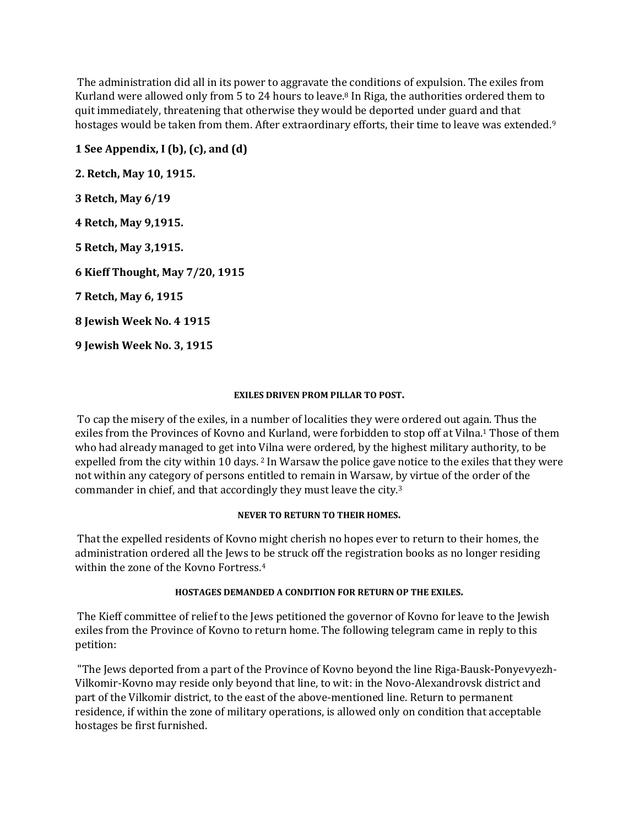The administration did all in its power to aggravate the conditions of expulsion. The exiles from Kurland were allowed only from 5 to 24 hours to leave.<sup>8</sup> In Riga, the authorities ordered them to quit immediately, threatening that otherwise they would be deported under guard and that hostages would be taken from them. After extraordinary efforts, their time to leave was extended.<sup>9</sup>

**1 See Appendix, I (b), (c), and (d) 2. Retch, May 10, 1915. 3 Retch, May 6/19 4 Retch, May 9,1915. 5 Retch, May 3,1915. 6 Kieff Thought, May 7/20, 1915 7 Retch, May 6, 1915 8 Jewish Week No. 4 1915 9 Jewish Week No. 3, 1915**

#### **EXILES DRIVEN PROM PILLAR TO POST.**

To cap the misery of the exiles, in a number of localities they were ordered out again. Thus the exiles from the Provinces of Kovno and Kurland, were forbidden to stop off at Vilna.<sup>1</sup> Those of them who had already managed to get into Vilna were ordered, by the highest military authority, to be expelled from the city within 10 days. <sup>2</sup> In Warsaw the police gave notice to the exiles that they were not within any category of persons entitled to remain in Warsaw, by virtue of the order of the commander in chief, and that accordingly they must leave the city.<sup>3</sup>

#### **NEVER TO RETURN TO THEIR HOMES.**

That the expelled residents of Kovno might cherish no hopes ever to return to their homes, the administration ordered all the Jews to be struck off the registration books as no longer residing within the zone of the Kovno Fortress.<sup>4</sup>

#### **HOSTAGES DEMANDED A CONDITION FOR RETURN OP THE EXILES.**

The Kieff committee of relief to the Jews petitioned the governor of Kovno for leave to the Jewish exiles from the Province of Kovno to return home. The following telegram came in reply to this petition:

"The Jews deported from a part of the Province of Kovno beyond the line Riga-Bausk-Ponyevyezh-Vilkomir-Kovno may reside only beyond that line, to wit: in the Novo-Alexandrovsk district and part of the Vilkomir district, to the east of the above-mentioned line. Return to permanent residence, if within the zone of military operations, is allowed only on condition that acceptable hostages be first furnished.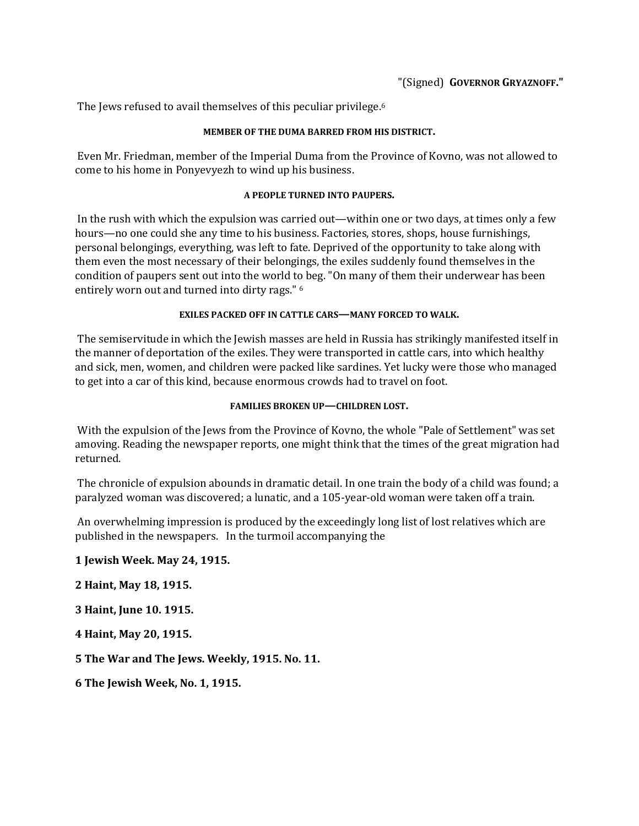The Jews refused to avail themselves of this peculiar privilege.<sup>6</sup>

### **MEMBER OF THE DUMA BARRED FROM HIS DISTRICT.**

Even Mr. Friedman, member of the Imperial Duma from the Province of Kovno, was not allowed to come to his home in Ponyevyezh to wind up his business.

#### **A PEOPLE TURNED INTO PAUPERS.**

In the rush with which the expulsion was carried out—within one or two days, at times only a few hours—no one could she any time to his business. Factories, stores, shops, house furnishings, personal belongings, everything, was left to fate. Deprived of the opportunity to take along with them even the most necessary of their belongings, the exiles suddenly found themselves in the condition of paupers sent out into the world to beg. "On many of them their underwear has been entirely worn out and turned into dirty rags." <sup>6</sup>

#### **EXILES PACKED OFF IN CATTLE CARS—MANY FORCED TO WALK.**

The semiservitude in which the Jewish masses are held in Russia has strikingly manifested itself in the manner of deportation of the exiles. They were transported in cattle cars, into which healthy and sick, men, women, and children were packed like sardines. Yet lucky were those who managed to get into a car of this kind, because enormous crowds had to travel on foot.

### **FAMILIES BROKEN UP—CHILDREN LOST.**

With the expulsion of the Jews from the Province of Kovno, the whole "Pale of Settlement" was set amoving. Reading the newspaper reports, one might think that the times of the great migration had returned.

The chronicle of expulsion abounds in dramatic detail. In one train the body of a child was found; a paralyzed woman was discovered; a lunatic, and a 105-year-old woman were taken off a train.

An overwhelming impression is produced by the exceedingly long list of lost relatives which are published in the newspapers. In the turmoil accompanying the

## **1 Jewish Week. May 24, 1915.**

**2 Haint, May 18, 1915.**

**3 Haint, June 10. 1915.**

**4 Haint, May 20, 1915.**

**5 The War and The Jews. Weekly, 1915. No. 11.**

**6 The Jewish Week, No. 1, 1915.**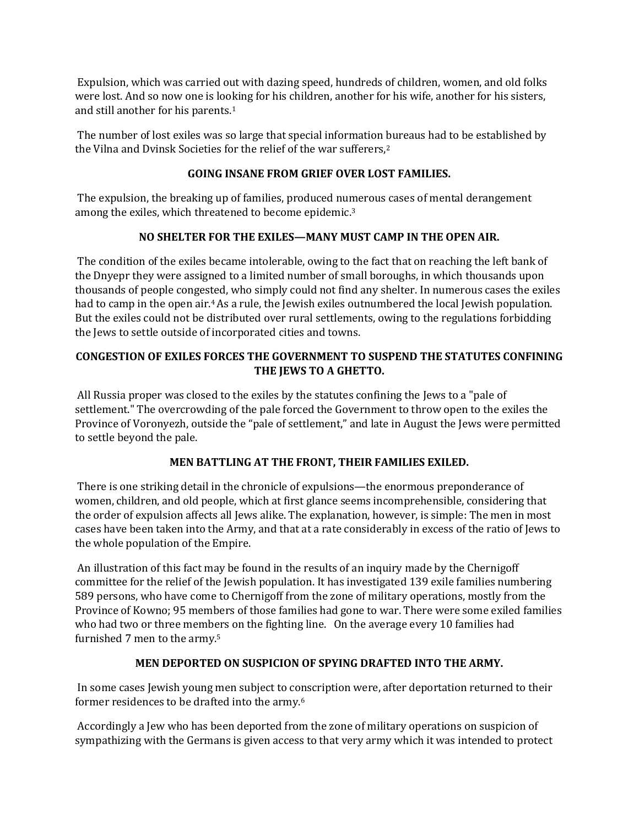Expulsion, which was carried out with dazing speed, hundreds of children, women, and old folks were lost. And so now one is looking for his children, another for his wife, another for his sisters, and still another for his parents.<sup>1</sup>

The number of lost exiles was so large that special information bureaus had to be established by the Vilna and Dvinsk Societies for the relief of the war sufferers,<sup>2</sup>

## **GOING INSANE FROM GRIEF OVER LOST FAMILIES.**

The expulsion, the breaking up of families, produced numerous cases of mental derangement among the exiles, which threatened to become epidemic.<sup>3</sup>

## **NO SHELTER FOR THE EXILES—MANY MUST CAMP IN THE OPEN AIR.**

The condition of the exiles became intolerable, owing to the fact that on reaching the left bank of the Dnyepr they were assigned to a limited number of small boroughs, in which thousands upon thousands of people congested, who simply could not find any shelter. In numerous cases the exiles had to camp in the open air.<sup>4</sup> As a rule, the Jewish exiles outnumbered the local Jewish population. But the exiles could not be distributed over rural settlements, owing to the regulations forbidding the Jews to settle outside of incorporated cities and towns.

## **CONGESTION OF EXILES FORCES THE GOVERNMENT TO SUSPEND THE STATUTES CONFINING THE JEWS TO A GHETTO.**

All Russia proper was closed to the exiles by the statutes confining the Jews to a "pale of settlement." The overcrowding of the pale forced the Government to throw open to the exiles the Province of Voronyezh, outside the "pale of settlement," and late in August the Jews were permitted to settle beyond the pale.

# **MEN BATTLING AT THE FRONT, THEIR FAMILIES EXILED.**

There is one striking detail in the chronicle of expulsions—the enormous preponderance of women, children, and old people, which at first glance seems incomprehensible, considering that the order of expulsion affects all Jews alike. The explanation, however, is simple: The men in most cases have been taken into the Army, and that at a rate considerably in excess of the ratio of Jews to the whole population of the Empire.

An illustration of this fact may be found in the results of an inquiry made by the Chernigoff committee for the relief of the Jewish population. It has investigated 139 exile families numbering 589 persons, who have come to Chernigoff from the zone of military operations, mostly from the Province of Kowno; 95 members of those families had gone to war. There were some exiled families who had two or three members on the fighting line. On the average every 10 families had furnished 7 men to the army.<sup>5</sup>

# **MEN DEPORTED ON SUSPICION OF SPYING DRAFTED INTO THE ARMY.**

In some cases Jewish young men subject to conscription were, after deportation returned to their former residences to be drafted into the army.<sup>6</sup>

Accordingly a Jew who has been deported from the zone of military operations on suspicion of sympathizing with the Germans is given access to that very army which it was intended to protect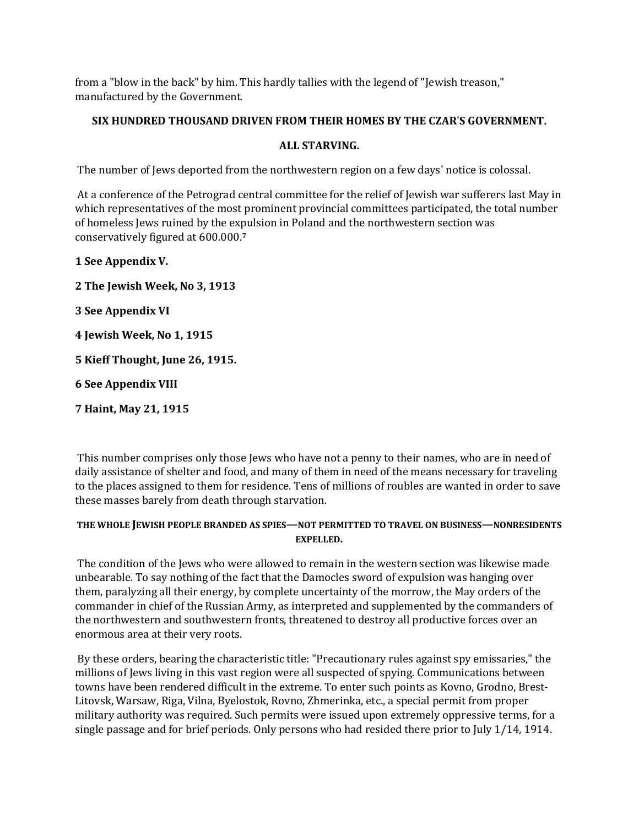from a "blow in the back" by him. This hardly tallies with the legend of "Jewish treason," manufactured by the Government.

## **SIX HUNDRED THOUSAND DRIVEN FROM THEIR HOMES BY THE CZAR**'**S GOVERNMENT.**

### **ALL STARVING.**

The number of Jews deported from the northwestern region on a few days' notice is colossal.

At a conference of the Petrograd central committee for the relief of Jewish war sufferers last May in which representatives of the most prominent provincial committees participated, the total number of homeless Jews ruined by the expulsion in Poland and the northwestern section was conservatively figured at 600.000.**<sup>7</sup>**

**1 See Appendix V.**

**2 The Jewish Week, No 3, 1913**

**3 See Appendix VI**

**4 Jewish Week, No 1, 1915**

**5 Kieff Thought, June 26, 1915.**

**6 See Appendix VIII**

**7 Haint, May 21, 1915**

This number comprises only those Jews who have not a penny to their names, who are in need of daily assistance of shelter and food, and many of them in need of the means necessary for traveling to the places assigned to them for residence. Tens of millions of roubles are wanted in order to save these masses barely from death through starvation.

### **THE WHOLE JEWISH PEOPLE BRANDED AS SPIES—NOT PERMITTED TO TRAVEL ON BUSINESS—NONRESIDENTS EXPELLED.**

The condition of the Jews who were allowed to remain in the western section was likewise made unbearable. To say nothing of the fact that the Damocles sword of expulsion was hanging over them, paralyzing all their energy, by complete uncertainty of the morrow, the May orders of the commander in chief of the Russian Army, as interpreted and supplemented by the commanders of the northwestern and southwestern fronts, threatened to destroy all productive forces over an enormous area at their very roots.

By these orders, bearing the characteristic title: "Precautionary rules against spy emissaries," the millions of Jews living in this vast region were all suspected of spying. Communications between towns have been rendered difficult in the extreme. To enter such points as Kovno, Grodno, Brest-Litovsk, Warsaw, Riga, Vilna, Byelostok, Rovno, Zhmerinka, etc., a special permit from proper military authority was required. Such permits were issued upon extremely oppressive terms, for a single passage and for brief periods. Only persons who had resided there prior to July 1/14, 1914.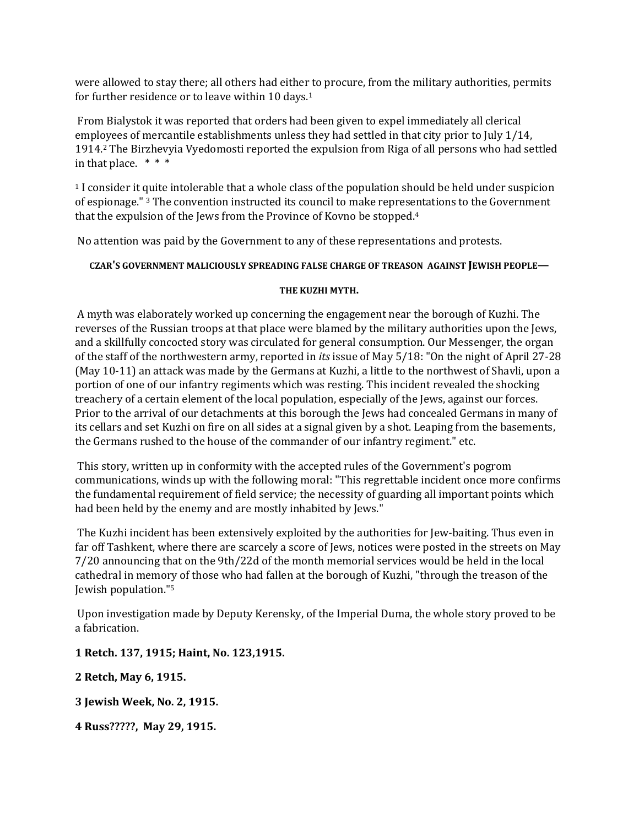were allowed to stay there; all others had either to procure, from the military authorities, permits for further residence or to leave within 10 days.<sup>1</sup>

From Bialystok it was reported that orders had been given to expel immediately all clerical employees of mercantile establishments unless they had settled in that city prior to July 1/14, 1914.<sup>2</sup> The Birzhevyia Vyedomosti reported the expulsion from Riga of all persons who had settled in that place. \* \* \*

<sup>1</sup> I consider it quite intolerable that a whole class of the population should be held under suspicion of espionage." <sup>3</sup> The convention instructed its council to make representations to the Government that the expulsion of the Jews from the Province of Kovno be stopped.<sup>4</sup>

No attention was paid by the Government to any of these representations and protests.

### **CZAR'S GOVERNMENT MALICIOUSLY SPREADING FALSE CHARGE OF TREASON AGAINST JEWISH PEOPLE—**

#### **THE KUZHI MYTH.**

A myth was elaborately worked up concerning the engagement near the borough of Kuzhi. The reverses of the Russian troops at that place were blamed by the military authorities upon the Jews, and a skillfully concocted story was circulated for general consumption. Our Messenger, the organ of the staff of the northwestern army, reported in *its* issue of May 5/18: "On the night of April 27-28 (May 10-11) an attack was made by the Germans at Kuzhi, a little to the northwest of Shavli, upon a portion of one of our infantry regiments which was resting. This incident revealed the shocking treachery of a certain element of the local population, especially of the Jews, against our forces. Prior to the arrival of our detachments at this borough the Jews had concealed Germans in many of its cellars and set Kuzhi on fire on all sides at a signal given by a shot. Leaping from the basements, the Germans rushed to the house of the commander of our infantry regiment." etc.

This story, written up in conformity with the accepted rules of the Government's pogrom communications, winds up with the following moral: "This regrettable incident once more confirms the fundamental requirement of field service; the necessity of guarding all important points which had been held by the enemy and are mostly inhabited by Jews."

The Kuzhi incident has been extensively exploited by the authorities for Jew-baiting. Thus even in far off Tashkent, where there are scarcely a score of Jews, notices were posted in the streets on May 7/20 announcing that on the 9th/22d of the month memorial services would be held in the local cathedral in memory of those who had fallen at the borough of Kuzhi, "through the treason of the Jewish population."<sup>5</sup>

Upon investigation made by Deputy Kerensky, of the Imperial Duma, the whole story proved to be a fabrication.

**1 Retch. 137, 1915; Haint, No. 123,1915.**

**2 Retch, May 6, 1915.**

**3 Jewish Week, No. 2, 1915.**

**4 Russ?????, May 29, 1915.**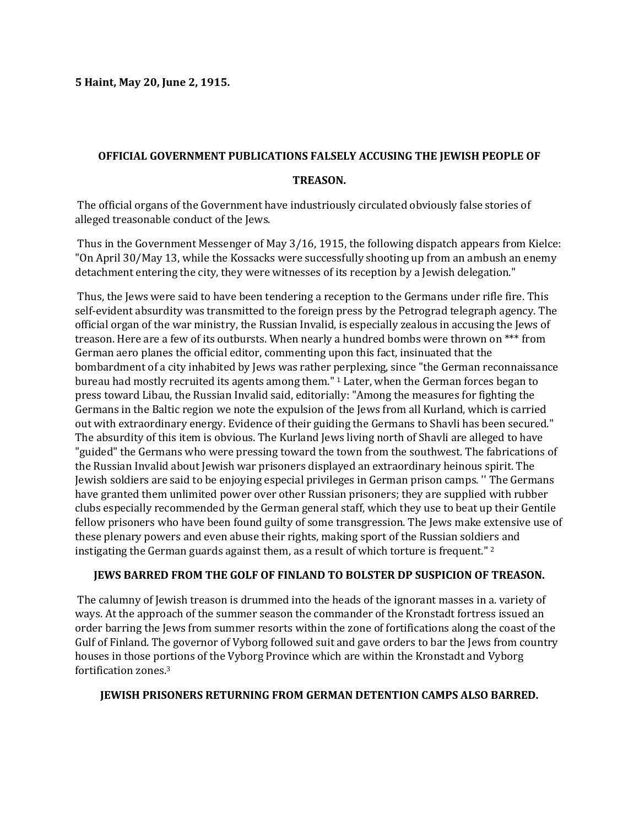**5 Haint, May 20, June 2, 1915.**

#### **OFFICIAL GOVERNMENT PUBLICATIONS FALSELY ACCUSING THE JEWISH PEOPLE OF**

#### **TREASON.**

The official organs of the Government have industriously circulated obviously false stories of alleged treasonable conduct of the Jews.

Thus in the Government Messenger of May 3/16, 1915, the following dispatch appears from Kielce: "On April 30/May 13, while the Kossacks were successfully shooting up from an ambush an enemy detachment entering the city, they were witnesses of its reception by a Jewish delegation."

Thus, the Jews were said to have been tendering a reception to the Germans under rifle fire. This self-evident absurdity was transmitted to the foreign press by the Petrograd telegraph agency. The official organ of the war ministry, the Russian Invalid, is especially zealous in accusing the Jews of treason. Here are a few of its outbursts. When nearly a hundred bombs were thrown on \*\*\* from German aero planes the official editor, commenting upon this fact, insinuated that the bombardment of a city inhabited by Jews was rather perplexing, since "the German reconnaissance bureau had mostly recruited its agents among them." <sup>1</sup> Later, when the German forces began to press toward Libau, the Russian Invalid said, editorially: "Among the measures for fighting the Germans in the Baltic region we note the expulsion of the Jews from all Kurland, which is carried out with extraordinary energy. Evidence of their guiding the Germans to Shavli has been secured." The absurdity of this item is obvious. The Kurland Jews living north of Shavli are alleged to have "guided" the Germans who were pressing toward the town from the southwest. The fabrications of the Russian Invalid about Jewish war prisoners displayed an extraordinary heinous spirit. The Jewish soldiers are said to be enjoying especial privileges in German prison camps. '' The Germans have granted them unlimited power over other Russian prisoners; they are supplied with rubber clubs especially recommended by the German general staff, which they use to beat up their Gentile fellow prisoners who have been found guilty of some transgression. The Jews make extensive use of these plenary powers and even abuse their rights, making sport of the Russian soldiers and instigating the German guards against them, as a result of which torture is frequent." <sup>2</sup>

#### **JEWS BARRED FROM THE GOLF OF FINLAND TO BOLSTER DP SUSPICION OF TREASON.**

The calumny of Jewish treason is drummed into the heads of the ignorant masses in a. variety of ways. At the approach of the summer season the commander of the Kronstadt fortress issued an order barring the Jews from summer resorts within the zone of fortifications along the coast of the Gulf of Finland. The governor of Vyborg followed suit and gave orders to bar the Jews from country houses in those portions of the Vyborg Province which are within the Kronstadt and Vyborg fortification zones.<sup>3</sup>

#### **JEWISH PRISONERS RETURNING FROM GERMAN DETENTION CAMPS ALSO BARRED.**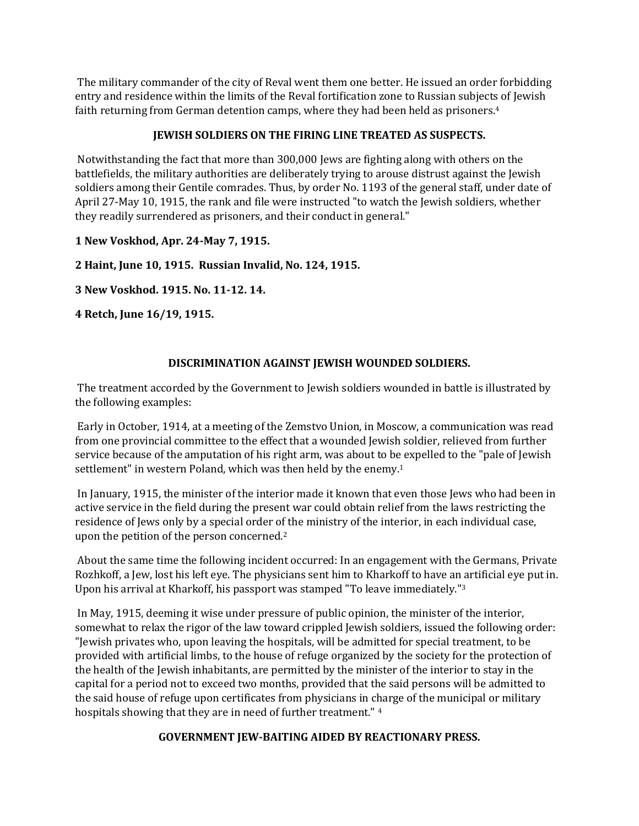The military commander of the city of Reval went them one better. He issued an order forbidding entry and residence within the limits of the Reval fortification zone to Russian subjects of Jewish faith returning from German detention camps, where they had been held as prisoners.<sup>4</sup>

## **JEWISH SOLDIERS ON THE FIRING LINE TREATED AS SUSPECTS.**

Notwithstanding the fact that more than 300,000 Jews are fighting along with others on the battlefields, the military authorities are deliberately trying to arouse distrust against the Jewish soldiers among their Gentile comrades. Thus, by order No. 1193 of the general staff, under date of April 27-May 10, 1915, the rank and file were instructed "to watch the Jewish soldiers, whether they readily surrendered as prisoners, and their conduct in general."

**1 New Voskhod, Apr. 24-May 7, 1915.**

**2 Haint, June 10, 1915. Russian Invalid, No. 124, 1915.**

**3 New Voskhod. 1915. No. 11-12. 14.**

**4 Retch, June 16/19, 1915.**

## **DISCRIMINATION AGAINST JEWISH WOUNDED SOLDIERS.**

The treatment accorded by the Government to Jewish soldiers wounded in battle is illustrated by the following examples:

Early in October, 1914, at a meeting of the Zemstvo Union, in Moscow, a communication was read from one provincial committee to the effect that a wounded Jewish soldier, relieved from further service because of the amputation of his right arm, was about to be expelled to the "pale of Jewish settlement" in western Poland, which was then held by the enemy.<sup>1</sup>

In January, 1915, the minister of the interior made it known that even those Jews who had been in active service in the field during the present war could obtain relief from the laws restricting the residence of Jews only by a special order of the ministry of the interior, in each individual case, upon the petition of the person concerned.<sup>2</sup>

About the same time the following incident occurred: In an engagement with the Germans, Private Rozhkoff, a Jew, lost his left eye. The physicians sent him to Kharkoff to have an artificial eye put in. Upon his arrival at Kharkoff, his passport was stamped "To leave immediately."<sup>3</sup>

In May, 1915, deeming it wise under pressure of public opinion, the minister of the interior, somewhat to relax the rigor of the law toward crippled Jewish soldiers, issued the following order: "Jewish privates who, upon leaving the hospitals, will be admitted for special treatment, to be provided with artificial limbs, to the house of refuge organized by the society for the protection of the health of the Jewish inhabitants, are permitted by the minister of the interior to stay in the capital for a period not to exceed two months, provided that the said persons will be admitted to the said house of refuge upon certificates from physicians in charge of the municipal or military hospitals showing that they are in need of further treatment." <sup>4</sup>

## **GOVERNMENT JEW-BAITING AIDED BY REACTIONARY PRESS.**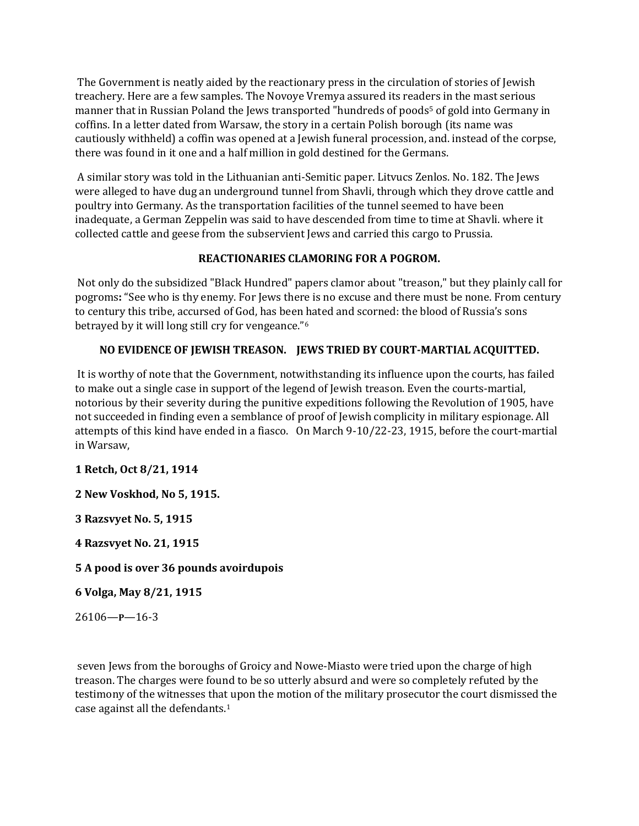The Government is neatly aided by the reactionary press in the circulation of stories of Jewish treachery. Here are a few samples. The Novoye Vremya assured its readers in the mast serious manner that in Russian Poland the Jews transported "hundreds of poods<sup>5</sup> of gold into Germany in coffins. In a letter dated from Warsaw, the story in a certain Polish borough (its name was cautiously withheld) a coffin was opened at a Jewish funeral procession, and. instead of the corpse, there was found in it one and a half million in gold destined for the Germans.

A similar story was told in the Lithuanian anti-Semitic paper. Litvucs Zenlos. No. 182. The Jews were alleged to have dug an underground tunnel from Shavli, through which they drove cattle and poultry into Germany. As the transportation facilities of the tunnel seemed to have been inadequate, a German Zeppelin was said to have descended from time to time at Shavli. where it collected cattle and geese from the subservient Jews and carried this cargo to Prussia.

## **REACTIONARIES CLAMORING FOR A POGROM.**

Not only do the subsidized "Black Hundred" papers clamor about "treason," but they plainly call for pogroms**:** "See who is thy enemy. For Jews there is no excuse and there must be none. From century to century this tribe, accursed of God, has been hated and scorned: the blood of Russia's sons betrayed by it will long still cry for vengeance."<sup>6</sup>

# **NO EVIDENCE OF JEWISH TREASON. JEWS TRIED BY COURT-MARTIAL ACQUITTED.**

It is worthy of note that the Government, notwithstanding its influence upon the courts, has failed to make out a single case in support of the legend of Jewish treason. Even the courts-martial, notorious by their severity during the punitive expeditions following the Revolution of 1905, have not succeeded in finding even a semblance of proof of Jewish complicity in military espionage. All attempts of this kind have ended in a fiasco. On March 9-10/22-23, 1915, before the court-martial in Warsaw,

## **1 Retch, Oct 8/21, 1914**

**2 New Voskhod, No 5, 1915.**

**3 Razsvyet No. 5, 1915**

**4 Razsvyet No. 21, 1915**

**5 A pood is over 36 pounds avoirdupois**

**6 Volga, May 8/21, 1915**

26106—**P**—16-3

seven Jews from the boroughs of Groicy and Nowe-Miasto were tried upon the charge of high treason. The charges were found to be so utterly absurd and were so completely refuted by the testimony of the witnesses that upon the motion of the military prosecutor the court dismissed the case against all the defendants.1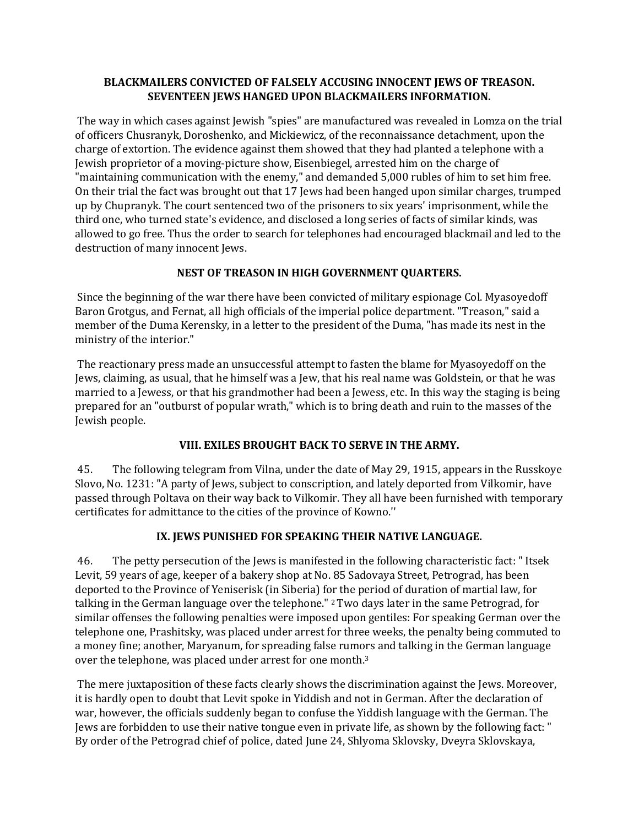### **BLACKMAILERS CONVICTED OF FALSELY ACCUSING INNOCENT JEWS OF TREASON. SEVENTEEN JEWS HANGED UPON BLACKMAILERS INFORMATION.**

The way in which cases against Jewish "spies" are manufactured was revealed in Lomza on the trial of officers Chusranyk, Doroshenko, and Mickiewicz, of the reconnaissance detachment, upon the charge of extortion. The evidence against them showed that they had planted a telephone with a Jewish proprietor of a moving-picture show, Eisenbiegel, arrested him on the charge of "maintaining communication with the enemy," and demanded 5,000 rubles of him to set him free. On their trial the fact was brought out that 17 Jews had been hanged upon similar charges, trumped up by Chupranyk. The court sentenced two of the prisoners to six years' imprisonment, while the third one, who turned state's evidence, and disclosed a long series of facts of similar kinds, was allowed to go free. Thus the order to search for telephones had encouraged blackmail and led to the destruction of many innocent Jews.

## **NEST OF TREASON IN HIGH GOVERNMENT QUARTERS.**

Since the beginning of the war there have been convicted of military espionage Col. Myasoyedoff Baron Grotgus, and Fernat, all high officials of the imperial police department. "Treason," said a member of the Duma Kerensky, in a letter to the president of the Duma, "has made its nest in the ministry of the interior."

The reactionary press made an unsuccessful attempt to fasten the blame for Myasoyedoff on the Jews, claiming, as usual, that he himself was a Jew, that his real name was Goldstein, or that he was married to a Jewess, or that his grandmother had been a Jewess, etc. In this way the staging is being prepared for an "outburst of popular wrath," which is to bring death and ruin to the masses of the Jewish people.

# **VIII. EXILES BROUGHT BACK TO SERVE IN THE ARMY.**

45. The following telegram from Vilna, under the date of May 29, 1915, appears in the Russkoye Slovo, No. 1231: "A party of Jews, subject to conscription, and lately deported from Vilkomir, have passed through Poltava on their way back to Vilkomir. They all have been furnished with temporary certificates for admittance to the cities of the province of Kowno.''

# **IX. JEWS PUNISHED FOR SPEAKING THEIR NATIVE LANGUAGE.**

46. The petty persecution of the Jews is manifested in the following characteristic fact: " Itsek Levit, 59 years of age, keeper of a bakery shop at No. 85 Sadovaya Street, Petrograd, has been deported to the Province of Yeniserisk (in Siberia) for the period of duration of martial law, for talking in the German language over the telephone." 2 Two days later in the same Petrograd, for similar offenses the following penalties were imposed upon gentiles: For speaking German over the telephone one, Prashitsky, was placed under arrest for three weeks, the penalty being commuted to a money fine; another, Maryanum, for spreading false rumors and talking in the German language over the telephone, was placed under arrest for one month.<sup>3</sup>

The mere juxtaposition of these facts clearly shows the discrimination against the Jews. Moreover, it is hardly open to doubt that Levit spoke in Yiddish and not in German. After the declaration of war, however, the officials suddenly began to confuse the Yiddish language with the German. The Jews are forbidden to use their native tongue even in private life, as shown by the following fact: " By order of the Petrograd chief of police, dated June 24, Shlyoma Sklovsky, Dveyra Sklovskaya,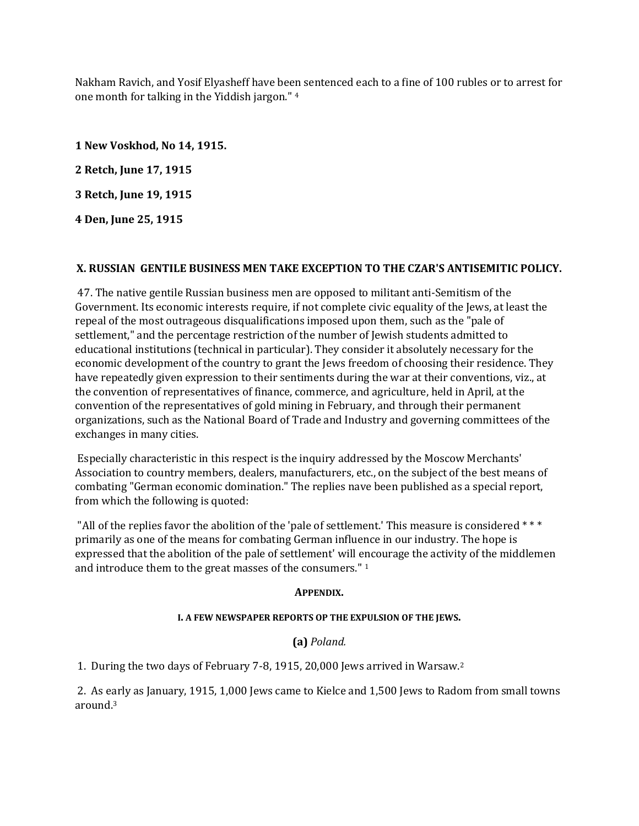Nakham Ravich, and Yosif Elyasheff have been sentenced each to a fine of 100 rubles or to arrest for one month for talking in the Yiddish jargon." <sup>4</sup>

**1 New Voskhod, No 14, 1915.**

**2 Retch, June 17, 1915**

**3 Retch, June 19, 1915**

**4 Den, June 25, 1915**

### **X. RUSSIAN GENTILE BUSINESS MEN TAKE EXCEPTION TO THE CZAR'S ANTISEMITIC POLICY.**

47. The native gentile Russian business men are opposed to militant anti-Semitism of the Government. Its economic interests require, if not complete civic equality of the Jews, at least the repeal of the most outrageous disqualifications imposed upon them, such as the "pale of settlement," and the percentage restriction of the number of Jewish students admitted to educational institutions (technical in particular). They consider it absolutely necessary for the economic development of the country to grant the Jews freedom of choosing their residence. They have repeatedly given expression to their sentiments during the war at their conventions, viz., at the convention of representatives of finance, commerce, and agriculture, held in April, at the convention of the representatives of gold mining in February, and through their permanent organizations, such as the National Board of Trade and Industry and governing committees of the exchanges in many cities.

Especially characteristic in this respect is the inquiry addressed by the Moscow Merchants' Association to country members, dealers, manufacturers, etc., on the subject of the best means of combating "German economic domination." The replies nave been published as a special report, from which the following is quoted:

"All of the replies favor the abolition of the 'pale of settlement.' This measure is considered \* \* \* primarily as one of the means for combating German influence in our industry. The hope is expressed that the abolition of the pale of settlement' will encourage the activity of the middlemen and introduce them to the great masses of the consumers." <sup>1</sup>

#### **APPENDIX.**

#### **I. A FEW NEWSPAPER REPORTS OP THE EXPULSION OF THE JEWS.**

## **(a)** *Poland.*

1. During the two days of February 7-8, 1915, 20,000 Jews arrived in Warsaw.<sup>2</sup>

2. As early as January, 1915, 1,000 Jews came to Kielce and 1,500 Jews to Radom from small towns around.3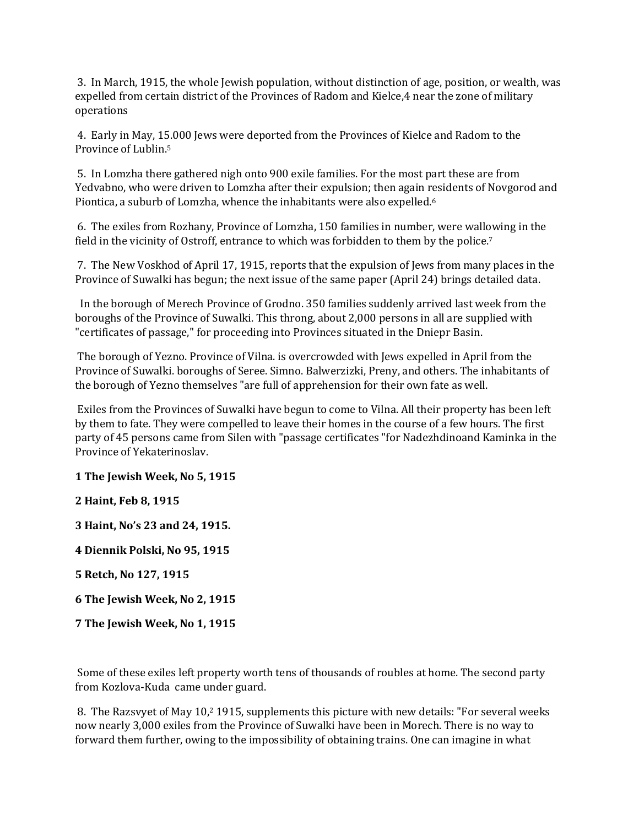3. In March, 1915, the whole Jewish population, without distinction of age, position, or wealth, was expelled from certain district of the Provinces of Radom and Kielce,4 near the zone of military operations

4. Early in May, 15.000 Jews were deported from the Provinces of Kielce and Radom to the Province of Lublin.<sup>5</sup>

5. In Lomzha there gathered nigh onto 900 exile families. For the most part these are from Yedvabno, who were driven to Lomzha after their expulsion; then again residents of Novgorod and Piontica, a suburb of Lomzha, whence the inhabitants were also expelled.<sup>6</sup>

6. The exiles from Rozhany, Province of Lomzha, 150 families in number, were wallowing in the field in the vicinity of Ostroff, entrance to which was forbidden to them by the police.<sup>7</sup>

7. The New Voskhod of April 17, 1915, reports that the expulsion of Jews from many places in the Province of Suwalki has begun; the next issue of the same paper (April 24) brings detailed data.

 In the borough of Merech Province of Grodno. 350 families suddenly arrived last week from the boroughs of the Province of Suwalki. This throng, about 2,000 persons in all are supplied with "certificates of passage," for proceeding into Provinces situated in the Dniepr Basin.

The borough of Yezno. Province of Vilna. is overcrowded with Jews expelled in April from the Province of Suwalki. boroughs of Seree. Simno. Balwerzizki, Preny, and others. The inhabitants of the borough of Yezno themselves "are full of apprehension for their own fate as well.

Exiles from the Provinces of Suwalki have begun to come to Vilna. All their property has been left by them to fate. They were compelled to leave their homes in the course of a few hours. The first party of 45 persons came from Silen with "passage certificates "for Nadezhdinoand Kaminka in the Province of Yekaterinoslav.

**1 The Jewish Week, No 5, 1915**

**2 Haint, Feb 8, 1915**

**3 Haint, No's 23 and 24, 1915.**

**4 Diennik Polski, No 95, 1915**

**5 Retch, No 127, 1915**

**6 The Jewish Week, No 2, 1915**

**7 The Jewish Week, No 1, 1915**

Some of these exiles left property worth tens of thousands of roubles at home. The second party from Kozlova-Kuda came under guard.

8. The Razsvyet of May 10,<sup>2</sup> 1915, supplements this picture with new details: "For several weeks" now nearly 3,000 exiles from the Province of Suwalki have been in Morech. There is no way to forward them further, owing to the impossibility of obtaining trains. One can imagine in what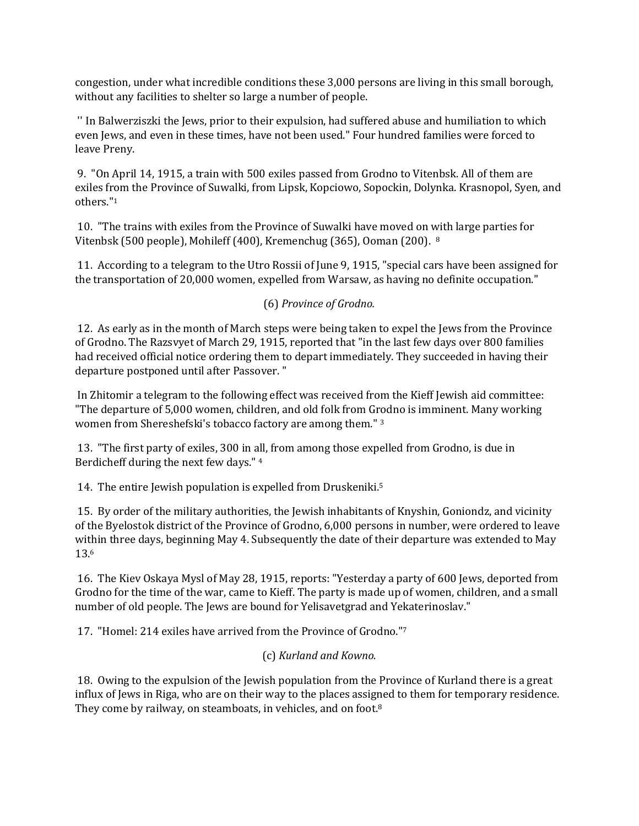congestion, under what incredible conditions these 3,000 persons are living in this small borough, without any facilities to shelter so large a number of people.

'' In Balwerziszki the Jews, prior to their expulsion, had suffered abuse and humiliation to which even Jews, and even in these times, have not been used." Four hundred families were forced to leave Preny.

9. "On April 14, 1915, a train with 500 exiles passed from Grodno to Vitenbsk. All of them are exiles from the Province of Suwalki, from Lipsk, Kopciowo, Sopockin, Dolynka. Krasnopol, Syen, and others."<sup>1</sup>

10. "The trains with exiles from the Province of Suwalki have moved on with large parties for Vitenbsk (500 people), Mohileff (400), Kremenchug (365), Ooman (200). 8

11. According to a telegram to the Utro Rossii of June 9, 1915, "special cars have been assigned for the transportation of 20,000 women, expelled from Warsaw, as having no definite occupation."

# (6) *Province of Grodno.*

12. As early as in the month of March steps were being taken to expel the Jews from the Province of Grodno. The Razsvyet of March 29, 1915, reported that "in the last few days over 800 families had received official notice ordering them to depart immediately. They succeeded in having their departure postponed until after Passover. "

In Zhitomir a telegram to the following effect was received from the Kieff Jewish aid committee: "The departure of 5,000 women, children, and old folk from Grodno is imminent. Many working women from Shereshefski's tobacco factory are among them." <sup>3</sup>

13. "The first party of exiles, 300 in all, from among those expelled from Grodno, is due in Berdicheff during the next few days." <sup>4</sup>

14. The entire Jewish population is expelled from Druskeniki.<sup>5</sup>

15. By order of the military authorities, the Jewish inhabitants of Knyshin, Goniondz, and vicinity of the Byelostok district of the Province of Grodno, 6,000 persons in number, were ordered to leave within three days, beginning May 4. Subsequently the date of their departure was extended to May 13.<sup>6</sup>

16. The Kiev Oskaya Mysl of May 28, 1915, reports: "Yesterday a party of 600 Jews, deported from Grodno for the time of the war, came to Kieff. The party is made up of women, children, and a small number of old people. The Jews are bound for Yelisavetgrad and Yekaterinoslav."

17. "Homel: 214 exiles have arrived from the Province of Grodno."<sup>7</sup>

# (c) *Kurland and Kowno.*

18. Owing to the expulsion of the Jewish population from the Province of Kurland there is a great influx of Jews in Riga, who are on their way to the places assigned to them for temporary residence. They come by railway, on steamboats, in vehicles, and on foot.<sup>8</sup>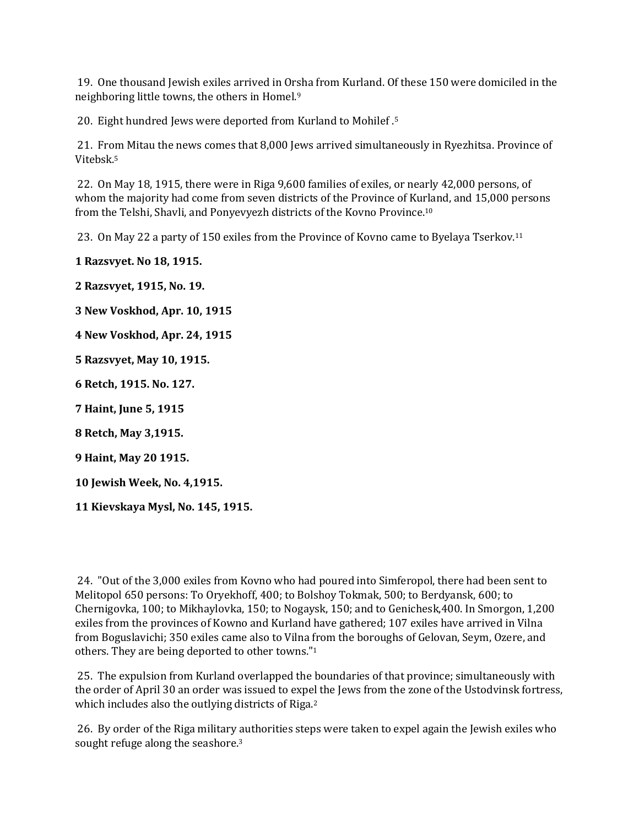19. One thousand Jewish exiles arrived in Orsha from Kurland. Of these 150 were domiciled in the neighboring little towns, the others in Homel.<sup>9</sup>

20. Eight hundred Jews were deported from Kurland to Mohilef .<sup>5</sup>

21. From Mitau the news comes that 8,000 Jews arrived simultaneously in Ryezhitsa. Province of Vitebsk.<sup>5</sup>

22. On May 18, 1915, there were in Riga 9,600 families of exiles, or nearly 42,000 persons, of whom the majority had come from seven districts of the Province of Kurland, and 15,000 persons from the Telshi, Shavli, and Ponyevyezh districts of the Kovno Province.<sup>10</sup>

23. On May 22 a party of 150 exiles from the Province of Kovno came to Byelaya Tserkov.<sup>11</sup>

**1 Razsvyet. No 18, 1915.** 

**2 Razsvyet, 1915, No. 19.**

**3 New Voskhod, Apr. 10, 1915** 

**4 New Voskhod, Apr. 24, 1915**

**5 Razsvyet, May 10, 1915.** 

**6 Retch, 1915. No. 127.**

**7 Haint, June 5, 1915**

**8 Retch, May 3,1915.**

**9 Haint, May 20 1915.**

**10 Jewish Week, No. 4,1915.** 

**11 Kievskaya Mysl, No. 145, 1915.**

24. "Out of the 3,000 exiles from Kovno who had poured into Simferopol, there had been sent to Melitopol 650 persons: To Oryekhoff, 400; to Bolshoy Tokmak, 500; to Berdyansk, 600; to Chernigovka, 100; to Mikhaylovka, 150; to Nogaysk, 150; and to Genichesk,400. In Smorgon, 1,200 exiles from the provinces of Kowno and Kurland have gathered; 107 exiles have arrived in Vilna from Boguslavichi; 350 exiles came also to Vilna from the boroughs of Gelovan, Seym, Ozere, and others. They are being deported to other towns."<sup>1</sup>

25. The expulsion from Kurland overlapped the boundaries of that province; simultaneously with the order of April 30 an order was issued to expel the Jews from the zone of the Ustodvinsk fortress, which includes also the outlying districts of Riga.<sup>2</sup>

26. By order of the Riga military authorities steps were taken to expel again the Jewish exiles who sought refuge along the seashore.3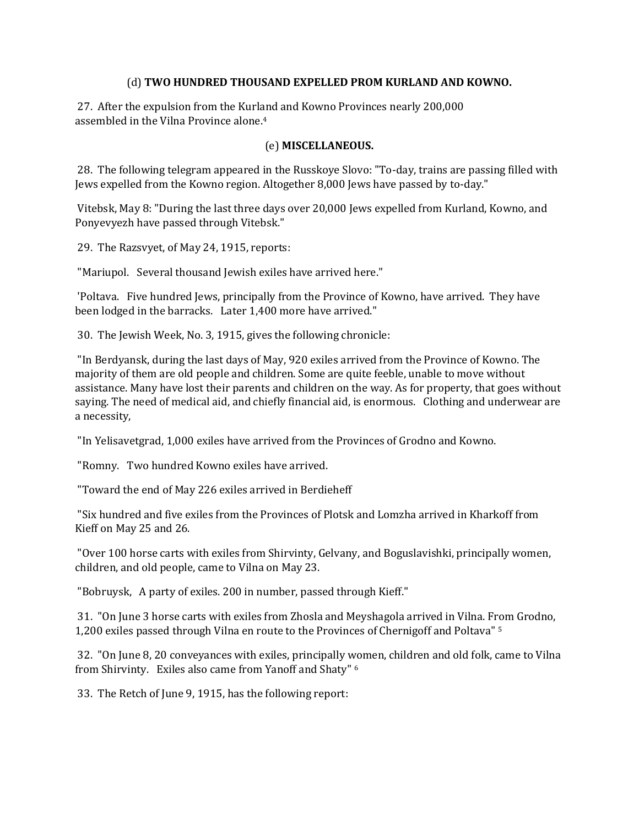### (d) **TWO HUNDRED THOUSAND EXPELLED PROM KURLAND AND KOWNO.**

27. After the expulsion from the Kurland and Kowno Provinces nearly 200,000 assembled in the Vilna Province alone.<sup>4</sup>

### (e) **MISCELLANEOUS.**

28. The following telegram appeared in the Russkoye Slovo: "To-day, trains are passing filled with Jews expelled from the Kowno region. Altogether 8,000 Jews have passed by to-day."

Vitebsk, May 8: "During the last three days over 20,000 Jews expelled from Kurland, Kowno, and Ponyevyezh have passed through Vitebsk."

29. The Razsvyet, of May 24, 1915, reports:

"Mariupol. Several thousand Jewish exiles have arrived here."

'Poltava. Five hundred Jews, principally from the Province of Kowno, have arrived. They have been lodged in the barracks. Later 1,400 more have arrived."

30. The Jewish Week, No. 3, 1915, gives the following chronicle:

"In Berdyansk, during the last days of May, 920 exiles arrived from the Province of Kowno. The majority of them are old people and children. Some are quite feeble, unable to move without assistance. Many have lost their parents and children on the way. As for property, that goes without saying. The need of medical aid, and chiefly financial aid, is enormous. Clothing and underwear are a necessity,

"In Yelisavetgrad, 1,000 exiles have arrived from the Provinces of Grodno and Kowno.

"Romny. Two hundred Kowno exiles have arrived.

"Toward the end of May 226 exiles arrived in Berdieheff

"Six hundred and five exiles from the Provinces of Plotsk and Lomzha arrived in Kharkoff from Kieff on May 25 and 26.

"Over 100 horse carts with exiles from Shirvinty, Gelvany, and Boguslavishki, principally women, children, and old people, came to Vilna on May 23.

"Bobruysk, A party of exiles. 200 in number, passed through Kieff."

31. "On June 3 horse carts with exiles from Zhosla and Meyshagola arrived in Vilna. From Grodno, 1,200 exiles passed through Vilna en route to the Provinces of Chernigoff and Poltava" <sup>5</sup>

32. "On June 8, 20 conveyances with exiles, principally women, children and old folk, came to Vilna from Shirvinty. Exiles also came from Yanoff and Shaty" <sup>6</sup>

33. The Retch of June 9, 1915, has the following report: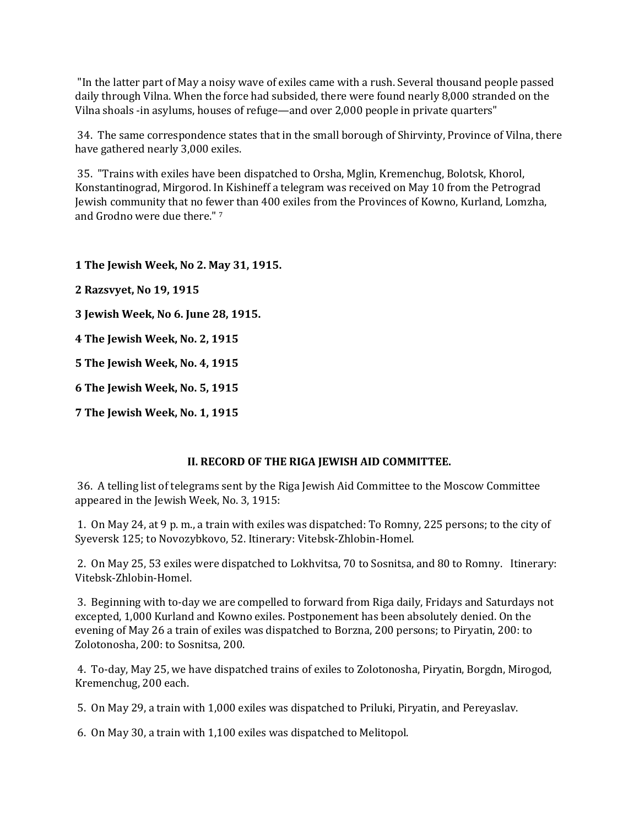"In the latter part of May a noisy wave of exiles came with a rush. Several thousand people passed daily through Vilna. When the force had subsided, there were found nearly 8,000 stranded on the Vilna shoals -in asylums, houses of refuge—and over 2,000 people in private quarters"

34. The same correspondence states that in the small borough of Shirvinty, Province of Vilna, there have gathered nearly 3,000 exiles.

35. "Trains with exiles have been dispatched to Orsha, Mglin, Kremenchug, Bolotsk, Khorol, Konstantinograd, Mirgorod. In Kishineff a telegram was received on May 10 from the Petrograd Jewish community that no fewer than 400 exiles from the Provinces of Kowno, Kurland, Lomzha, and Grodno were due there." <sup>7</sup>

**1 The Jewish Week, No 2. May 31, 1915.**

**2 Razsvyet, No 19, 1915**

**3 Jewish Week, No 6. June 28, 1915.**

**4 The Jewish Week, No. 2, 1915**

**5 The Jewish Week, No. 4, 1915**

**6 The Jewish Week, No. 5, 1915**

**7 The Jewish Week, No. 1, 1915**

#### **II. RECORD OF THE RIGA JEWISH AID COMMITTEE.**

36. A telling list of telegrams sent by the Riga Jewish Aid Committee to the Moscow Committee appeared in the Jewish Week, No. 3, 1915:

1. On May 24, at 9 p. m., a train with exiles was dispatched: To Romny, 225 persons; to the city of Syeversk 125; to Novozybkovo, 52. Itinerary: Vitebsk-Zhlobin-Homel.

2. On May 25, 53 exiles were dispatched to Lokhvitsa, 70 to Sosnitsa, and 80 to Romny. Itinerary: Vitebsk-Zhlobin-Homel.

3. Beginning with to-day we are compelled to forward from Riga daily, Fridays and Saturdays not excepted, 1,000 Kurland and Kowno exiles. Postponement has been absolutely denied. On the evening of May 26 a train of exiles was dispatched to Borzna, 200 persons; to Piryatin, 200: to Zolotonosha, 200: to Sosnitsa, 200.

4. To-day, May 25, we have dispatched trains of exiles to Zolotonosha, Piryatin, Borgdn, Mirogod, Kremenchug, 200 each.

5. On May 29, a train with 1,000 exiles was dispatched to Priluki, Piryatin, and Pereyaslav.

6. On May 30, a train with 1,100 exiles was dispatched to Melitopol.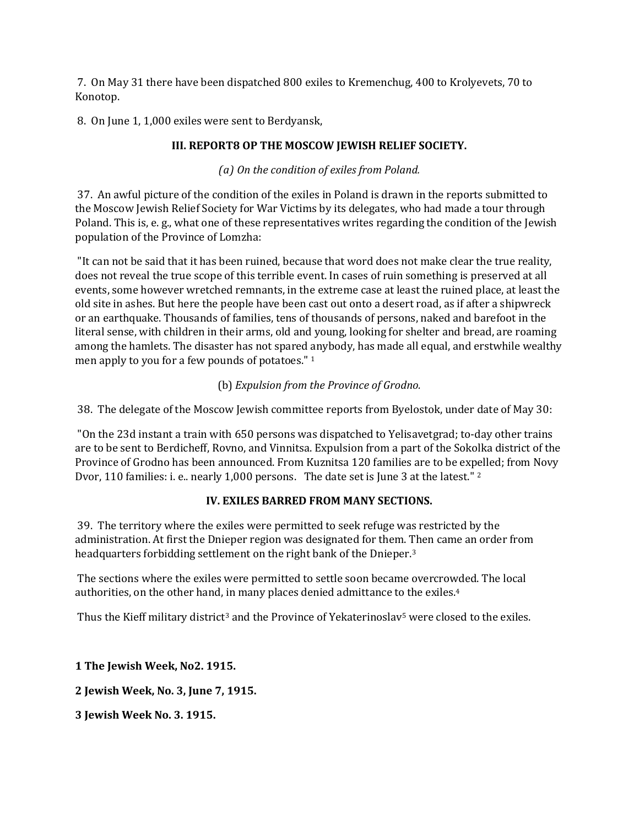7. On May 31 there have been dispatched 800 exiles to Kremenchug, 400 to Krolyevets, 70 to Konotop.

8. On June 1, 1,000 exiles were sent to Berdyansk,

## **III. REPORT8 OP THE MOSCOW JEWISH RELIEF SOCIETY.**

## *(a) On the condition of exiles from Poland.*

37. An awful picture of the condition of the exiles in Poland is drawn in the reports submitted to the Moscow Jewish Relief Society for War Victims by its delegates, who had made a tour through Poland. This is, e. g., what one of these representatives writes regarding the condition of the Jewish population of the Province of Lomzha:

"It can not be said that it has been ruined, because that word does not make clear the true reality, does not reveal the true scope of this terrible event. In cases of ruin something is preserved at all events, some however wretched remnants, in the extreme case at least the ruined place, at least the old site in ashes. But here the people have been cast out onto a desert road, as if after a shipwreck or an earthquake. Thousands of families, tens of thousands of persons, naked and barefoot in the literal sense, with children in their arms, old and young, looking for shelter and bread, are roaming among the hamlets. The disaster has not spared anybody, has made all equal, and erstwhile wealthy men apply to you for a few pounds of potatoes." <sup>1</sup>

# (b) *Expulsion from the Province of Grodno.*

38. The delegate of the Moscow Jewish committee reports from Byelostok, under date of May 30:

"On the 23d instant a train with 650 persons was dispatched to Yelisavetgrad; to-day other trains are to be sent to Berdicheff, Rovno, and Vinnitsa. Expulsion from a part of the Sokolka district of the Province of Grodno has been announced. From Kuznitsa 120 families are to be expelled; from Novy Dvor, 110 families: i. e.. nearly 1,000 persons. The date set is June 3 at the latest."<sup>2</sup>

## **IV. EXILES BARRED FROM MANY SECTIONS.**

39. The territory where the exiles were permitted to seek refuge was restricted by the administration. At first the Dnieper region was designated for them. Then came an order from headquarters forbidding settlement on the right bank of the Dnieper.<sup>3</sup>

The sections where the exiles were permitted to settle soon became overcrowded. The local authorities, on the other hand, in many places denied admittance to the exiles.<sup>4</sup>

Thus the Kieff military district<sup>3</sup> and the Province of Yekaterinoslav<sup>5</sup> were closed to the exiles.

**1 The Jewish Week, No2. 1915.**

**2 Jewish Week, No. 3, June 7, 1915.**

**3 Jewish Week No. 3. 1915.**